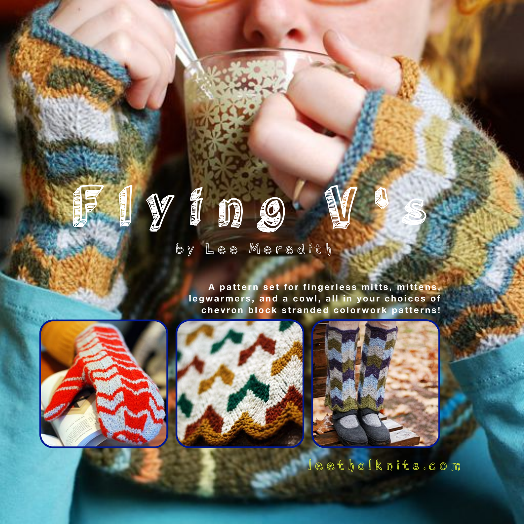

# by Lee Meredith

A pattern set for fingerless mitts, mittens, legwarmers, and a cowl, all in your choices of **chevron block stranded colorwork patterns!**







leethalknits.com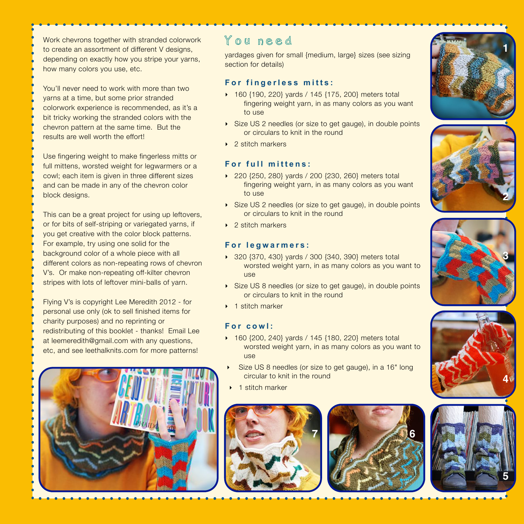Work chevrons together with stranded colorwork to create an assortment of different V designs, depending on exactly how you stripe your yarns, how many colors you use, etc.

You'll never need to work with more than two yarns at a time, but some prior stranded colorwork experience is recommended, as it's a bit tricky working the stranded colors with the chevron pattern at the same time. But the results are well worth the effort!

Use fingering weight to make fingerless mitts or full mittens, worsted weight for legwarmers or a cowl; each item is given in three different sizes and can be made in any of the chevron color block designs.

This can be a great project for using up leftovers, or for bits of self-striping or variegated yarns, if you get creative with the color block patterns. For example, try using one solid for the background color of a whole piece with all different colors as non-repeating rows of chevron V's. Or make non-repeating off-kilter chevron stripes with lots of leftover mini-balls of yarn.

Flying V's is copyright Lee Meredith 2012 - for personal use only (ok to sell finished items for charity purposes) and no reprinting or redistributing of this booklet - thanks! Email Lee at leemeredith@gmail.com with any questions, etc, and see leethalknits.com for more patterns!



# You need

yardages given for small {medium, large} sizes (see sizing section for details)

## **For fingerless mitts:**

- ‣ 160 {190, 220} yards / 145 {175, 200} meters total fingering weight yarn, in as many colors as you want to use
- ▶ Size US 2 needles (or size to get gauge), in double points or circulars to knit in the round
- ▶ 2 stitch markers

#### **For full mittens:**

- ‣ 220 {250, 280} yards / 200 {230, 260} meters total fingering weight yarn, in as many colors as you want to use
- ‣ Size US 2 needles (or size to get gauge), in double points or circulars to knit in the round
- ▶ 2 stitch markers

#### **For legwarmers:**

- ‣ 320 {370, 430} yards / 300 {340, 390} meters total worsted weight yarn, in as many colors as you want to use
- ▶ Size US 8 needles (or size to get gauge), in double points or circulars to knit in the round
- ▶ 1 stitch marker

## **For cowl:**

- ‣ 160 {200, 240} yards / 145 {180, 220} meters total worsted weight yarn, in as many colors as you want to use
- ‣ Size US 8 needles (or size to get gauge), in a 16" long circular to knit in the round
- ▶ 1 stitch marker